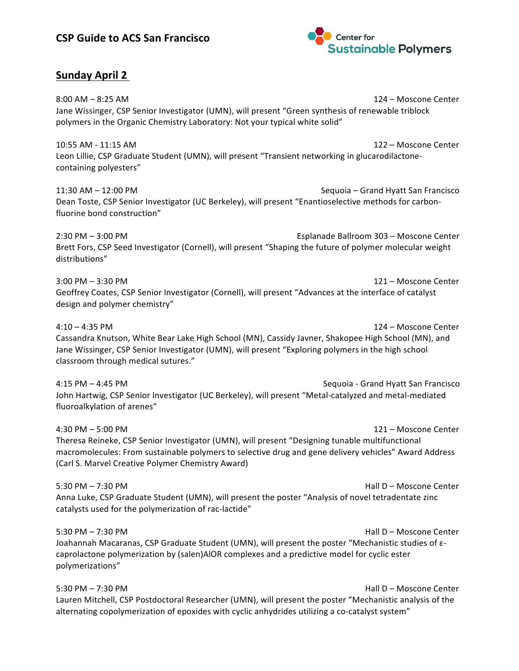

# **Sunday April 2**

 $8:00$  AM  $-$  8:25 AM  $\overline{})$  and  $\overline{})$  and  $\overline{})$  and  $\overline{})$  and  $\overline{})$  and  $\overline{})$  and  $\overline{})$  and  $\overline{})$  and  $\overline{})$  and  $\overline{})$  and  $\overline{})$  and  $\overline{})$  and  $\overline{})$  and  $\overline{0}$  and  $\overline{0}$  and  $\overline{0}$  and  $\overline$ Jane Wissinger, CSP Senior Investigator (UMN), will present "Green synthesis of renewable triblock polymers in the Organic Chemistry Laboratory: Not your typical white solid"

10:55 AM - 11:15 AM 122 – Moscone Center Leon Lillie, CSP Graduate Student (UMN), will present "Transient networking in glucarodilactonecontaining polyesters"

11:30 AM – 12:00 PM Sequoia – Grand Hyatt San Francisco Dean Toste, CSP Senior Investigator (UC Berkeley), will present "Enantioselective methods for carbonfluorine bond construction"

2:30 PM – 3:00 PM  $\overline{a}$  and  $\overline{b}$  and  $\overline{c}$  and  $\overline{c}$  and  $\overline{c}$  and  $\overline{c}$  explanade Ballroom 303 – Moscone Center Brett Fors, CSP Seed Investigator (Cornell), will present "Shaping the future of polymer molecular weight distributions"

 $3:00 \text{ PM} - 3:30 \text{ PM}$   $121 - \text{Moscone Center}$ Geoffrey Coates, CSP Senior Investigator (Cornell), will present "Advances at the interface of catalyst design and polymer chemistry"

4:10 – 4:35 PM 124 – Moscone Center Cassandra Knutson, White Bear Lake High School (MN), Cassidy Javner, Shakopee High School (MN), and Jane Wissinger, CSP Senior Investigator (UMN), will present "Exploring polymers in the high school classroom through medical sutures."

4:15 PM – 4:45 PM Sequoia - Grand Hyatt San Francisco John Hartwig, CSP Senior Investigator (UC Berkeley), will present "Metal-catalyzed and metal-mediated fluoroalkylation of arenes"

4:30 PM – 5:00 PM 121 – Moscone Center Theresa Reineke, CSP Senior Investigator (UMN), will present "Designing tunable multifunctional macromolecules: From sustainable polymers to selective drug and gene delivery vehicles" Award Address (Carl S. Marvel Creative Polymer Chemistry Award)

5:30 PM – 7:30 PM  $\sim$  7:30 PM Anna Luke, CSP Graduate Student (UMN), will present the poster "Analysis of novel tetradentate zinc catalysts used for the polymerization of rac-lactide"

5:30 PM – 7:30 PM Joahannah Macaranas, CSP Graduate Student (UMN), will present the poster "Mechanistic studies of εcaprolactone polymerization by (salen)AlOR complexes and a predictive model for cyclic ester polymerizations"

5:30 PM – 7:30 PM Lauren Mitchell, CSP Postdoctoral Researcher (UMN), will present the poster "Mechanistic analysis of the alternating copolymerization of epoxides with cyclic anhydrides utilizing a co-catalyst system"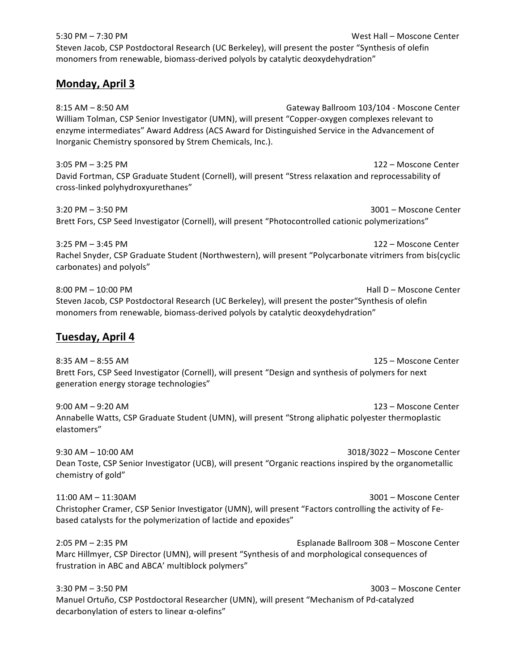| 5:30 PM - 7:30 PM<br>West Hall - Moscone Center<br>Steven Jacob, CSP Postdoctoral Research (UC Berkeley), will present the poster "Synthesis of olefin<br>monomers from renewable, biomass-derived polyols by catalytic deoxydehydration"                                                                                            |
|--------------------------------------------------------------------------------------------------------------------------------------------------------------------------------------------------------------------------------------------------------------------------------------------------------------------------------------|
| <b>Monday, April 3</b>                                                                                                                                                                                                                                                                                                               |
| $8:15$ AM $-$ 8:50 AM<br>Gateway Ballroom 103/104 - Moscone Center<br>William Tolman, CSP Senior Investigator (UMN), will present "Copper-oxygen complexes relevant to<br>enzyme intermediates" Award Address (ACS Award for Distinguished Service in the Advancement of<br>Inorganic Chemistry sponsored by Strem Chemicals, Inc.). |
| $3:05$ PM $-3:25$ PM<br>122 – Moscone Center<br>David Fortman, CSP Graduate Student (Cornell), will present "Stress relaxation and reprocessability of<br>cross-linked polyhydroxyurethanes"                                                                                                                                         |
| 3:20 PM - 3:50 PM<br>3001 - Moscone Center<br>Brett Fors, CSP Seed Investigator (Cornell), will present "Photocontrolled cationic polymerizations"                                                                                                                                                                                   |
| $3:25$ PM $-3:45$ PM<br>122 - Moscone Center<br>Rachel Snyder, CSP Graduate Student (Northwestern), will present "Polycarbonate vitrimers from bis(cyclic<br>carbonates) and polyols"                                                                                                                                                |
| 8:00 PM - 10:00 PM<br>Hall D - Moscone Center<br>Steven Jacob, CSP Postdoctoral Research (UC Berkeley), will present the poster "Synthesis of olefin<br>monomers from renewable, biomass-derived polyols by catalytic deoxydehydration"                                                                                              |
| Tuesday, April 4                                                                                                                                                                                                                                                                                                                     |
| $8:35$ AM $-8:55$ AM<br>125 - Moscone Center<br>Brett Fors, CSP Seed Investigator (Cornell), will present "Design and synthesis of polymers for next<br>generation energy storage technologies"                                                                                                                                      |
| $9:00$ AM $-9:20$ AM<br>123 - Moscone Center<br>Annabelle Watts, CSP Graduate Student (UMN), will present "Strong aliphatic polyester thermoplastic<br>elastomers"                                                                                                                                                                   |
| $9:30$ AM $- 10:00$ AM<br>3018/3022 - Moscone Center<br>Dean Toste, CSP Senior Investigator (UCB), will present "Organic reactions inspired by the organometallic<br>chemistry of gold"                                                                                                                                              |
| 11:00 AM - 11:30AM<br>3001 - Moscone Center<br>Christopher Cramer, CSP Senior Investigator (UMN), will present "Factors controlling the activity of Fe-<br>based catalysts for the polymerization of lactide and epoxides"                                                                                                           |
| 2:05 PM - 2:35 PM<br>Esplanade Ballroom 308 - Moscone Center<br>Marc Hillmyer, CSP Director (UMN), will present "Synthesis of and morphological consequences of<br>frustration in ABC and ABCA' multiblock polymers"                                                                                                                 |
| 3:30 PM - 3:50 PM<br>3003 - Moscone Center<br>Manuel Ortuño, CSP Postdoctoral Researcher (UMN), will present "Mechanism of Pd-catalyzed<br>decarbonylation of esters to linear α-olefins"                                                                                                                                            |
|                                                                                                                                                                                                                                                                                                                                      |